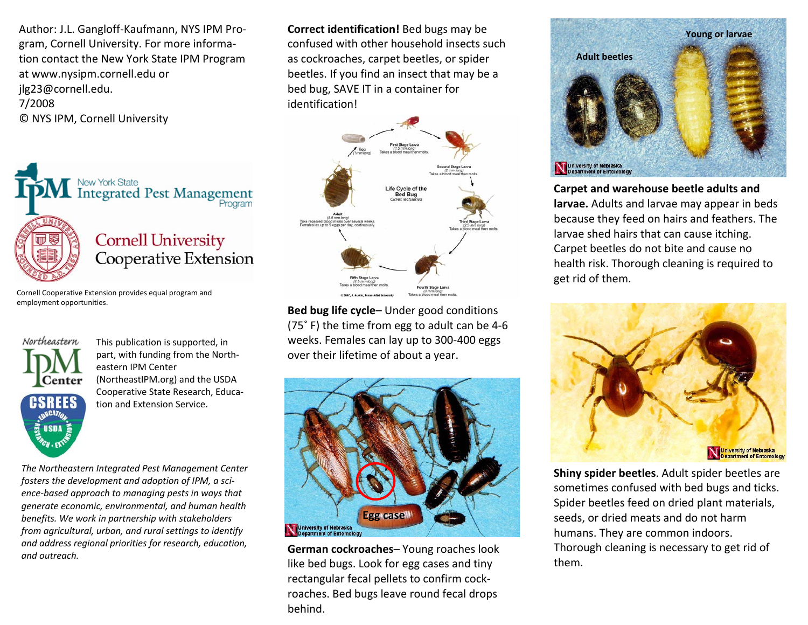Author: J.L. Gangloff-Kaufmann, NYS IPM Program, Cornell University. For more information contact the New York State IPM Program at www.nysipm.cornell.edu or jlg23@cornell.edu. 7/2008 © NYS IPM, Cornell University



Cornell Cooperative Extension provides equal program and employment opportunities.



This publication is supported, in part, with funding from the Northeastern IPM Center (NortheastIPM.org) and the USDA Cooperative State Research, Education and Extension Service.

*The Northeastern Integrated Pest Management Center fosters the development and adoption of IPM, a science-based approach to managing pests in ways that generate economic, environmental, and human health benefits. We work in partnership with stakeholders from agricultural, urban, and rural settings to identify and address regional priorities for research, education, and outreach.* 

**Correct identification!** Bed bugs may be confused with other household insects such as cockroaches, carpet beetles, or spider beetles. If you find an insect that may be a bed bug, SAVE IT in a container for identification!



**Bed bug life cycle**– Under good conditions (75˚ F) the time from egg to adult can be 4-6 weeks. Females can lay up to 300-400 eggs over their lifetime of about a year.



**German cockroaches**– Young roaches look like bed bugs. Look for egg cases and tiny rectangular fecal pellets to confirm cockroaches. Bed bugs leave round fecal drops behind.



**Carpet and warehouse beetle adults and larvae.** Adults and larvae may appear in beds because they feed on hairs and feathers. The larvae shed hairs that can cause itching. Carpet beetles do not bite and cause no health risk. Thorough cleaning is required to get rid of them.



**Shiny spider beetles**. Adult spider beetles are sometimes confused with bed bugs and ticks. Spider beetles feed on dried plant materials, seeds, or dried meats and do not harm humans. They are common indoors. Thorough cleaning is necessary to get rid of them.